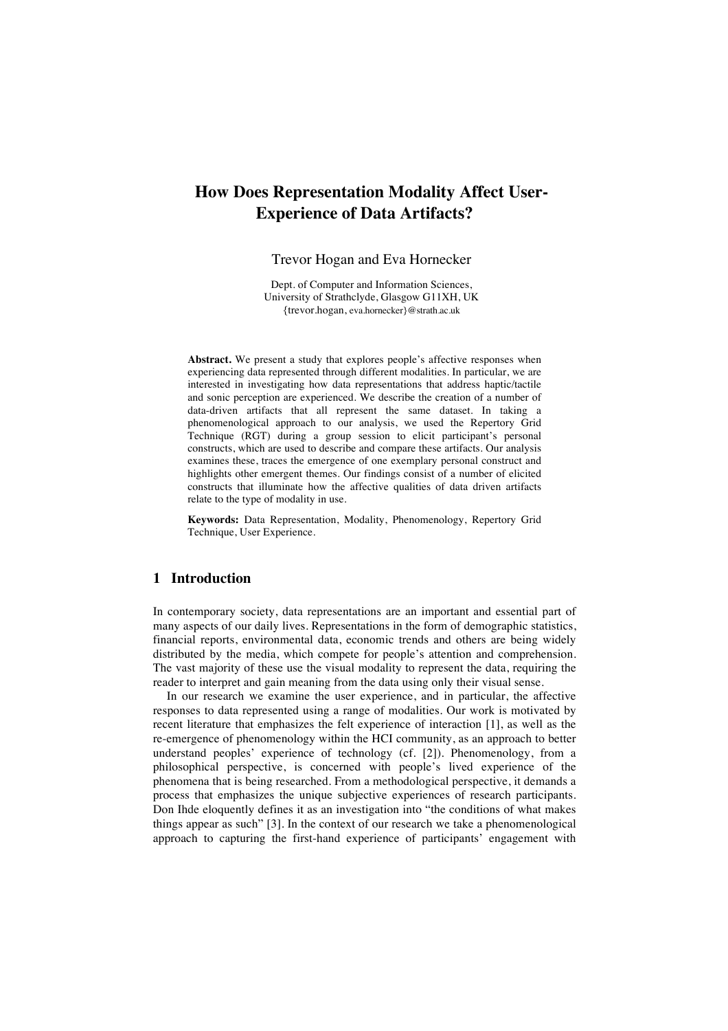# **How Does Representation Modality Affect User-Experience of Data Artifacts?**

Trevor Hogan and Eva Hornecker

Dept. of Computer and Information Sciences, University of Strathclyde, Glasgow G11XH, UK {trevor.hogan, eva.hornecker}@strath.ac.uk

**Abstract.** We present a study that explores people's affective responses when experiencing data represented through different modalities. In particular, we are interested in investigating how data representations that address haptic/tactile and sonic perception are experienced. We describe the creation of a number of data-driven artifacts that all represent the same dataset. In taking a phenomenological approach to our analysis, we used the Repertory Grid Technique (RGT) during a group session to elicit participant's personal constructs, which are used to describe and compare these artifacts. Our analysis examines these, traces the emergence of one exemplary personal construct and highlights other emergent themes. Our findings consist of a number of elicited constructs that illuminate how the affective qualities of data driven artifacts relate to the type of modality in use.

**Keywords:** Data Representation, Modality, Phenomenology, Repertory Grid Technique, User Experience.

## **1 Introduction**

In contemporary society, data representations are an important and essential part of many aspects of our daily lives. Representations in the form of demographic statistics, financial reports, environmental data, economic trends and others are being widely distributed by the media, which compete for people's attention and comprehension. The vast majority of these use the visual modality to represent the data, requiring the reader to interpret and gain meaning from the data using only their visual sense.

In our research we examine the user experience, and in particular, the affective responses to data represented using a range of modalities. Our work is motivated by recent literature that emphasizes the felt experience of interaction [1], as well as the re-emergence of phenomenology within the HCI community, as an approach to better understand peoples' experience of technology (cf. [2]). Phenomenology, from a philosophical perspective, is concerned with people's lived experience of the phenomena that is being researched. From a methodological perspective, it demands a process that emphasizes the unique subjective experiences of research participants. Don Ihde eloquently defines it as an investigation into "the conditions of what makes things appear as such" [3]. In the context of our research we take a phenomenological approach to capturing the first-hand experience of participants' engagement with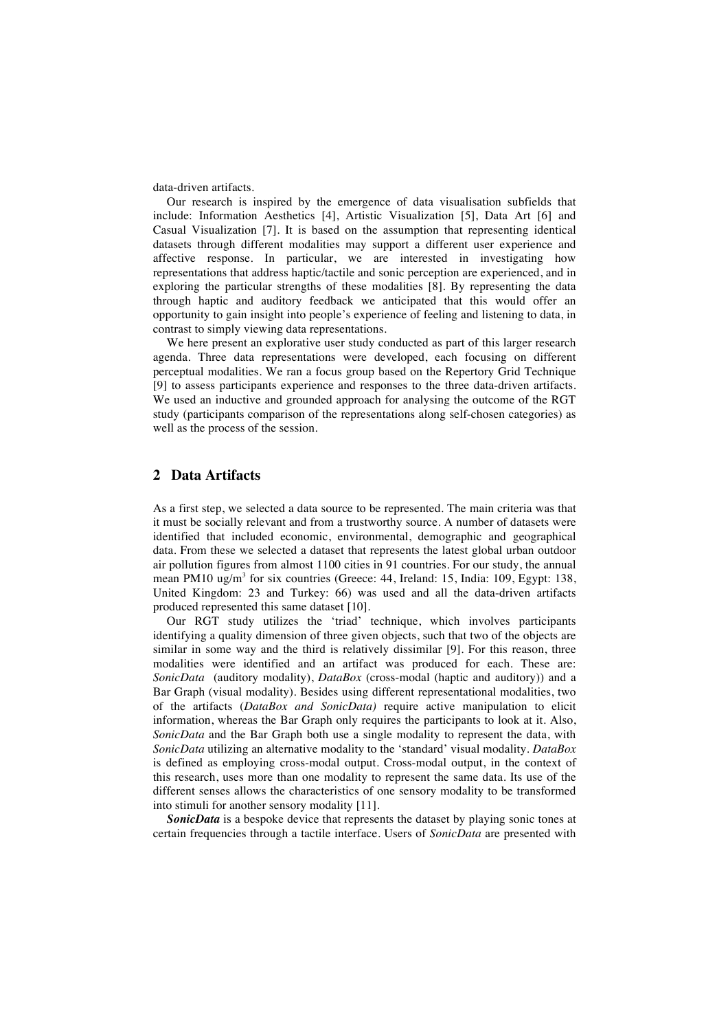data-driven artifacts.

Our research is inspired by the emergence of data visualisation subfields that include: Information Aesthetics [4], Artistic Visualization [5], Data Art [6] and Casual Visualization [7]. It is based on the assumption that representing identical datasets through different modalities may support a different user experience and affective response. In particular, we are interested in investigating how representations that address haptic/tactile and sonic perception are experienced, and in exploring the particular strengths of these modalities [8]. By representing the data through haptic and auditory feedback we anticipated that this would offer an opportunity to gain insight into people's experience of feeling and listening to data, in contrast to simply viewing data representations.

We here present an explorative user study conducted as part of this larger research agenda. Three data representations were developed, each focusing on different perceptual modalities. We ran a focus group based on the Repertory Grid Technique [9] to assess participants experience and responses to the three data-driven artifacts. We used an inductive and grounded approach for analysing the outcome of the RGT study (participants comparison of the representations along self-chosen categories) as well as the process of the session.

## **2 Data Artifacts**

As a first step, we selected a data source to be represented. The main criteria was that it must be socially relevant and from a trustworthy source. A number of datasets were identified that included economic, environmental, demographic and geographical data. From these we selected a dataset that represents the latest global urban outdoor air pollution figures from almost 1100 cities in 91 countries. For our study, the annual mean PM10 ug/m<sup>3</sup> for six countries (Greece: 44, Ireland: 15, India: 109, Egypt: 138, United Kingdom: 23 and Turkey: 66) was used and all the data-driven artifacts produced represented this same dataset [10].

Our RGT study utilizes the 'triad' technique, which involves participants identifying a quality dimension of three given objects, such that two of the objects are similar in some way and the third is relatively dissimilar [9]. For this reason, three modalities were identified and an artifact was produced for each. These are: *SonicData* (auditory modality), *DataBox* (cross-modal (haptic and auditory)) and a Bar Graph (visual modality). Besides using different representational modalities, two of the artifacts (*DataBox and SonicData)* require active manipulation to elicit information, whereas the Bar Graph only requires the participants to look at it. Also, *SonicData* and the Bar Graph both use a single modality to represent the data, with *SonicData* utilizing an alternative modality to the 'standard' visual modality. *DataBox* is defined as employing cross-modal output. Cross-modal output, in the context of this research, uses more than one modality to represent the same data. Its use of the different senses allows the characteristics of one sensory modality to be transformed into stimuli for another sensory modality [11].

*SonicData* is a bespoke device that represents the dataset by playing sonic tones at certain frequencies through a tactile interface. Users of *SonicData* are presented with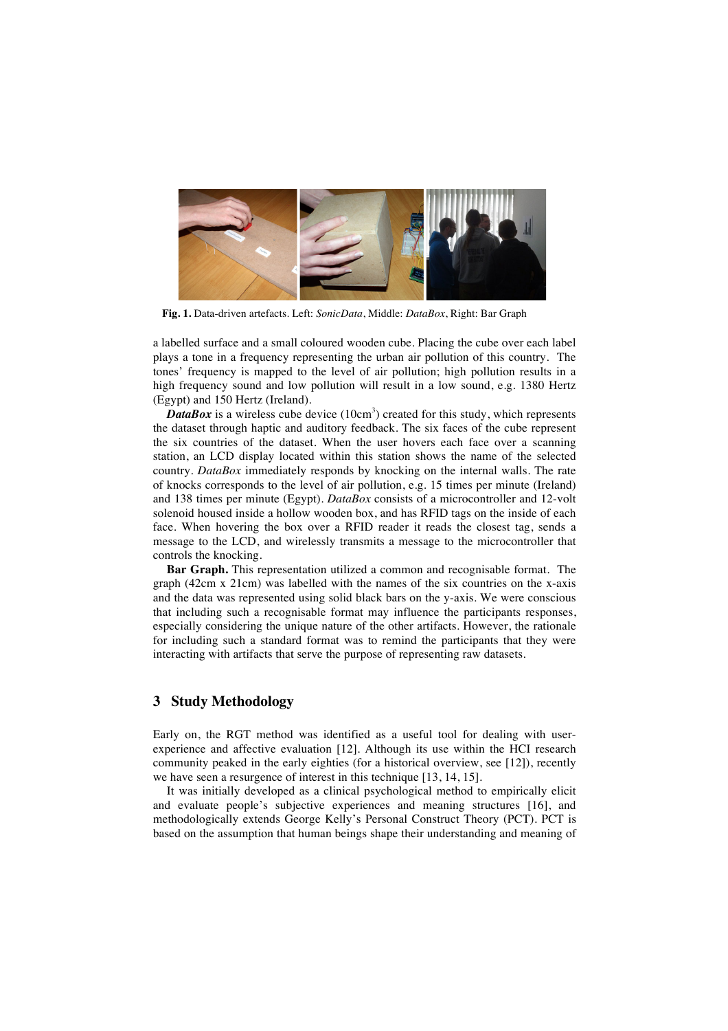

**Fig. 1.** Data-driven artefacts. Left: *SonicData*, Middle: *DataBox*, Right: Bar Graph

a labelled surface and a small coloured wooden cube. Placing the cube over each label plays a tone in a frequency representing the urban air pollution of this country. The tones' frequency is mapped to the level of air pollution; high pollution results in a high frequency sound and low pollution will result in a low sound, e.g. 1380 Hertz (Egypt) and 150 Hertz (Ireland).

**DataBox** is a wireless cube device (10cm<sup>3</sup>) created for this study, which represents the dataset through haptic and auditory feedback. The six faces of the cube represent the six countries of the dataset. When the user hovers each face over a scanning station, an LCD display located within this station shows the name of the selected country. *DataBox* immediately responds by knocking on the internal walls. The rate of knocks corresponds to the level of air pollution, e.g. 15 times per minute (Ireland) and 138 times per minute (Egypt). *DataBox* consists of a microcontroller and 12-volt solenoid housed inside a hollow wooden box, and has RFID tags on the inside of each face. When hovering the box over a RFID reader it reads the closest tag, sends a message to the LCD, and wirelessly transmits a message to the microcontroller that controls the knocking.

**Bar Graph.** This representation utilized a common and recognisable format. The graph (42cm x 21cm) was labelled with the names of the six countries on the x-axis and the data was represented using solid black bars on the y-axis. We were conscious that including such a recognisable format may influence the participants responses, especially considering the unique nature of the other artifacts. However, the rationale for including such a standard format was to remind the participants that they were interacting with artifacts that serve the purpose of representing raw datasets.

#### **3 Study Methodology**

Early on, the RGT method was identified as a useful tool for dealing with userexperience and affective evaluation [12]. Although its use within the HCI research community peaked in the early eighties (for a historical overview, see [12]), recently we have seen a resurgence of interest in this technique [13, 14, 15].

It was initially developed as a clinical psychological method to empirically elicit and evaluate people's subjective experiences and meaning structures [16], and methodologically extends George Kelly's Personal Construct Theory (PCT). PCT is based on the assumption that human beings shape their understanding and meaning of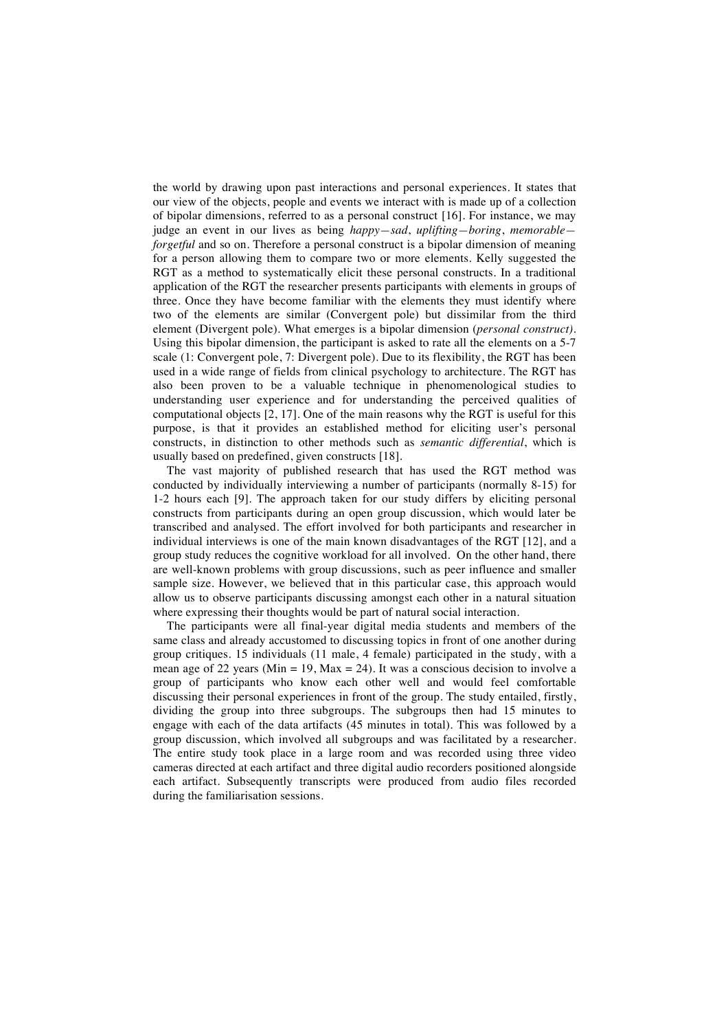the world by drawing upon past interactions and personal experiences. It states that our view of the objects, people and events we interact with is made up of a collection of bipolar dimensions, referred to as a personal construct [16]. For instance, we may judge an event in our lives as being *happy—sad*, *uplifting—boring*, *memorable forgetful* and so on. Therefore a personal construct is a bipolar dimension of meaning for a person allowing them to compare two or more elements. Kelly suggested the RGT as a method to systematically elicit these personal constructs. In a traditional application of the RGT the researcher presents participants with elements in groups of three. Once they have become familiar with the elements they must identify where two of the elements are similar (Convergent pole) but dissimilar from the third element (Divergent pole). What emerges is a bipolar dimension (*personal construct)*. Using this bipolar dimension, the participant is asked to rate all the elements on a 5-7 scale (1: Convergent pole, 7: Divergent pole). Due to its flexibility, the RGT has been used in a wide range of fields from clinical psychology to architecture. The RGT has also been proven to be a valuable technique in phenomenological studies to understanding user experience and for understanding the perceived qualities of computational objects [2, 17]. One of the main reasons why the RGT is useful for this purpose, is that it provides an established method for eliciting user's personal constructs, in distinction to other methods such as *semantic differential*, which is usually based on predefined, given constructs [18].

The vast majority of published research that has used the RGT method was conducted by individually interviewing a number of participants (normally 8-15) for 1-2 hours each [9]. The approach taken for our study differs by eliciting personal constructs from participants during an open group discussion, which would later be transcribed and analysed. The effort involved for both participants and researcher in individual interviews is one of the main known disadvantages of the RGT [12], and a group study reduces the cognitive workload for all involved. On the other hand, there are well-known problems with group discussions, such as peer influence and smaller sample size. However, we believed that in this particular case, this approach would allow us to observe participants discussing amongst each other in a natural situation where expressing their thoughts would be part of natural social interaction.

The participants were all final-year digital media students and members of the same class and already accustomed to discussing topics in front of one another during group critiques. 15 individuals (11 male, 4 female) participated in the study, with a mean age of 22 years (Min = 19, Max = 24). It was a conscious decision to involve a group of participants who know each other well and would feel comfortable discussing their personal experiences in front of the group. The study entailed, firstly, dividing the group into three subgroups. The subgroups then had 15 minutes to engage with each of the data artifacts (45 minutes in total). This was followed by a group discussion, which involved all subgroups and was facilitated by a researcher. The entire study took place in a large room and was recorded using three video cameras directed at each artifact and three digital audio recorders positioned alongside each artifact. Subsequently transcripts were produced from audio files recorded during the familiarisation sessions.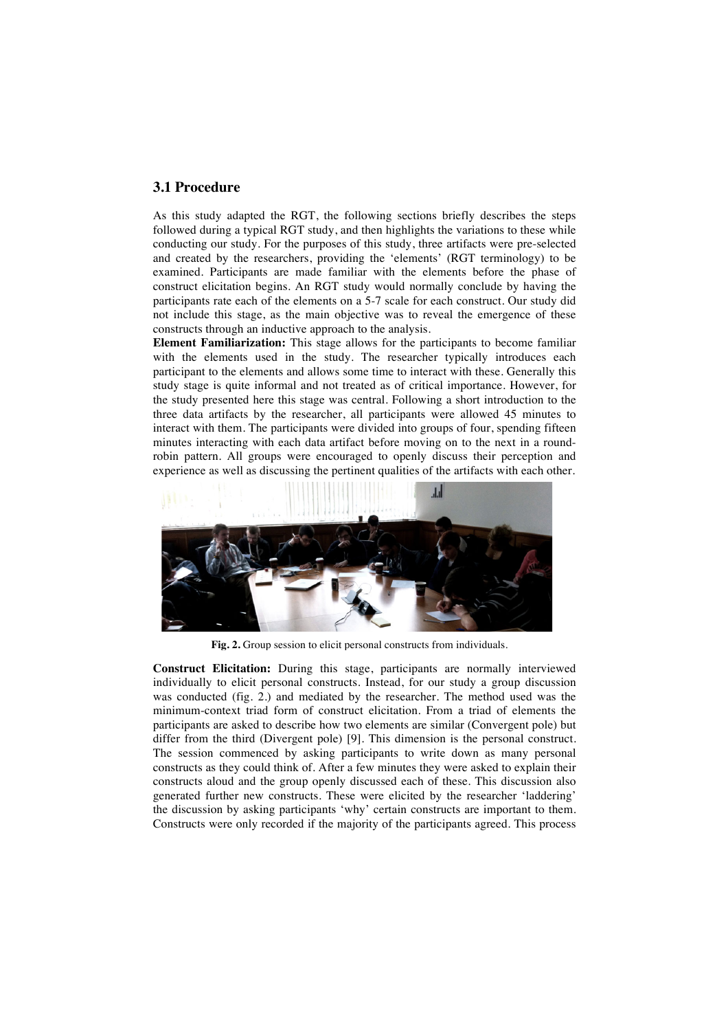### **3.1 Procedure**

As this study adapted the RGT, the following sections briefly describes the steps followed during a typical RGT study, and then highlights the variations to these while conducting our study. For the purposes of this study, three artifacts were pre-selected and created by the researchers, providing the 'elements' (RGT terminology) to be examined. Participants are made familiar with the elements before the phase of construct elicitation begins. An RGT study would normally conclude by having the participants rate each of the elements on a 5-7 scale for each construct. Our study did not include this stage, as the main objective was to reveal the emergence of these constructs through an inductive approach to the analysis.

**Element Familiarization:** This stage allows for the participants to become familiar with the elements used in the study. The researcher typically introduces each participant to the elements and allows some time to interact with these. Generally this study stage is quite informal and not treated as of critical importance. However, for the study presented here this stage was central. Following a short introduction to the three data artifacts by the researcher, all participants were allowed 45 minutes to interact with them. The participants were divided into groups of four, spending fifteen minutes interacting with each data artifact before moving on to the next in a roundrobin pattern. All groups were encouraged to openly discuss their perception and experience as well as discussing the pertinent qualities of the artifacts with each other.



**Fig. 2.** Group session to elicit personal constructs from individuals.

**Construct Elicitation:** During this stage, participants are normally interviewed individually to elicit personal constructs. Instead, for our study a group discussion was conducted (fig. 2.) and mediated by the researcher. The method used was the minimum-context triad form of construct elicitation. From a triad of elements the participants are asked to describe how two elements are similar (Convergent pole) but differ from the third (Divergent pole) [9]. This dimension is the personal construct. The session commenced by asking participants to write down as many personal constructs as they could think of. After a few minutes they were asked to explain their constructs aloud and the group openly discussed each of these. This discussion also generated further new constructs. These were elicited by the researcher 'laddering' the discussion by asking participants 'why' certain constructs are important to them. Constructs were only recorded if the majority of the participants agreed. This process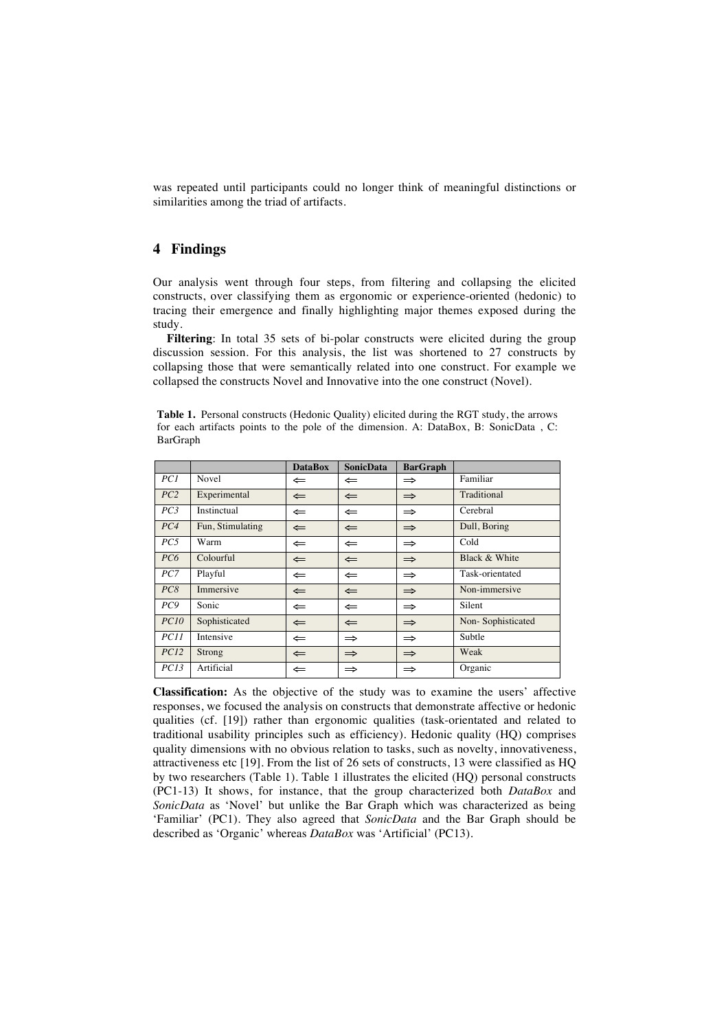was repeated until participants could no longer think of meaningful distinctions or similarities among the triad of artifacts.

# **4 Findings**

Our analysis went through four steps, from filtering and collapsing the elicited constructs, over classifying them as ergonomic or experience-oriented (hedonic) to tracing their emergence and finally highlighting major themes exposed during the study.

**Filtering**: In total 35 sets of bi-polar constructs were elicited during the group discussion session. For this analysis, the list was shortened to 27 constructs by collapsing those that were semantically related into one construct. For example we collapsed the constructs Novel and Innovative into the one construct (Novel).

**Table 1.** Personal constructs (Hedonic Quality) elicited during the RGT study, the arrows for each artifacts points to the pole of the dimension. A: DataBox, B: SonicData , C: BarGraph

|      |                  | <b>DataBox</b> | <b>SonicData</b> | <b>BarGraph</b> |                   |
|------|------------------|----------------|------------------|-----------------|-------------------|
| PC1  | Novel            | $\Leftarrow$   | $\Leftarrow$     | $\Rightarrow$   | Familiar          |
| PC2  | Experimental     | $\Leftarrow$   | $\Leftarrow$     | $\Rightarrow$   | Traditional       |
| PC3  | Instinctual      | $\Leftarrow$   | $\Leftarrow$     | $\Rightarrow$   | Cerebral          |
| PC4  | Fun, Stimulating | $\Leftarrow$   | $\Leftarrow$     | $\Rightarrow$   | Dull, Boring      |
| PC5  | Warm             | $\Leftarrow$   | $\Leftarrow$     | $\Rightarrow$   | Cold              |
| PC6  | Colourful        | $\Leftarrow$   | $\Leftarrow$     | $\Rightarrow$   | Black & White     |
| PC7  | Playful          | $\Leftarrow$   | $\Leftarrow$     | $\Rightarrow$   | Task-orientated   |
| PC8  | Immersive        | $\Leftarrow$   | $\Leftarrow$     | $\Rightarrow$   | Non-immersive     |
| PC9  | Sonic            | $\Leftarrow$   | $\Leftarrow$     | $\Rightarrow$   | Silent            |
| PC10 | Sophisticated    | $\Leftarrow$   | $\Leftarrow$     | $\Rightarrow$   | Non-Sophisticated |
| PC11 | Intensive        | $\Leftarrow$   | $\Rightarrow$    | $\Rightarrow$   | Subtle            |
| PC12 | Strong           | $\Leftarrow$   | $\Rightarrow$    | $\Rightarrow$   | Weak              |
| PC13 | Artificial       | $\Leftarrow$   | $\Rightarrow$    | $\Rightarrow$   | Organic           |

**Classification:** As the objective of the study was to examine the users' affective responses, we focused the analysis on constructs that demonstrate affective or hedonic qualities (cf. [19]) rather than ergonomic qualities (task-orientated and related to traditional usability principles such as efficiency). Hedonic quality (HQ) comprises quality dimensions with no obvious relation to tasks, such as novelty, innovativeness, attractiveness etc [19]. From the list of 26 sets of constructs, 13 were classified as HQ by two researchers (Table 1). Table 1 illustrates the elicited (HQ) personal constructs (PC1-13) It shows, for instance, that the group characterized both *DataBox* and *SonicData* as 'Novel' but unlike the Bar Graph which was characterized as being 'Familiar' (PC1). They also agreed that *SonicData* and the Bar Graph should be described as 'Organic' whereas *DataBox* was 'Artificial' (PC13).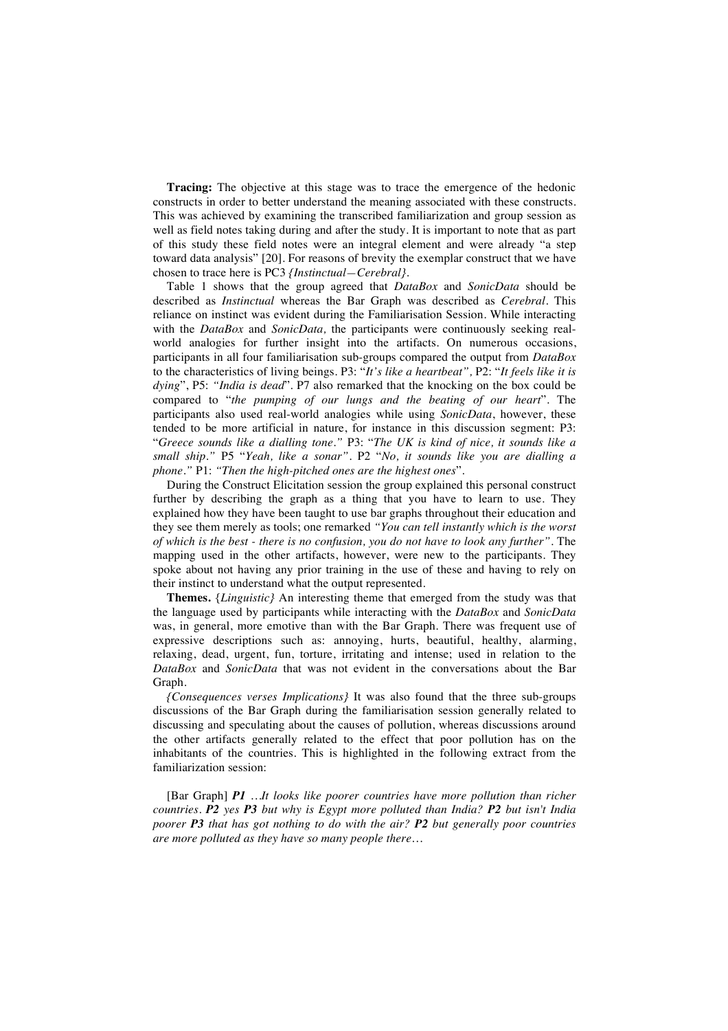**Tracing:** The objective at this stage was to trace the emergence of the hedonic constructs in order to better understand the meaning associated with these constructs. This was achieved by examining the transcribed familiarization and group session as well as field notes taking during and after the study. It is important to note that as part of this study these field notes were an integral element and were already "a step toward data analysis" [20]. For reasons of brevity the exemplar construct that we have chosen to trace here is PC3 *{Instinctual—Cerebral}.*

Table 1 shows that the group agreed that *DataBox* and *SonicData* should be described as *Instinctual* whereas the Bar Graph was described as *Cerebral*. This reliance on instinct was evident during the Familiarisation Session. While interacting with the *DataBox* and *SonicData,* the participants were continuously seeking realworld analogies for further insight into the artifacts. On numerous occasions, participants in all four familiarisation sub-groups compared the output from *DataBox* to the characteristics of living beings. P3: "*It's like a heartbeat",* P2: "*It feels like it is dying*", P5: *"India is dead*". P7 also remarked that the knocking on the box could be compared to "*the pumping of our lungs and the beating of our heart*". The participants also used real-world analogies while using *SonicData*, however, these tended to be more artificial in nature, for instance in this discussion segment: P3: "*Greece sounds like a dialling tone."* P3: "*The UK is kind of nice, it sounds like a small ship."* P5 "*Yeah, like a sonar".* P2 "*No, it sounds like you are dialling a phone."* P1: *"Then the high-pitched ones are the highest ones*".

During the Construct Elicitation session the group explained this personal construct further by describing the graph as a thing that you have to learn to use. They explained how they have been taught to use bar graphs throughout their education and they see them merely as tools; one remarked *"You can tell instantly which is the worst of which is the best - there is no confusion, you do not have to look any further".* The mapping used in the other artifacts, however, were new to the participants. They spoke about not having any prior training in the use of these and having to rely on their instinct to understand what the output represented.

**Themes.** {*Linguistic}* An interesting theme that emerged from the study was that the language used by participants while interacting with the *DataBox* and *SonicData* was, in general, more emotive than with the Bar Graph. There was frequent use of expressive descriptions such as: annoying, hurts, beautiful, healthy, alarming, relaxing, dead, urgent, fun, torture, irritating and intense; used in relation to the *DataBox* and *SonicData* that was not evident in the conversations about the Bar Graph.

*{Consequences verses Implications}* It was also found that the three sub-groups discussions of the Bar Graph during the familiarisation session generally related to discussing and speculating about the causes of pollution, whereas discussions around the other artifacts generally related to the effect that poor pollution has on the inhabitants of the countries. This is highlighted in the following extract from the familiarization session:

[Bar Graph] *P1 …It looks like poorer countries have more pollution than richer countries. P2 yes P3 but why is Egypt more polluted than India? P2 but isn't India poorer P3 that has got nothing to do with the air? P2 but generally poor countries are more polluted as they have so many people there…*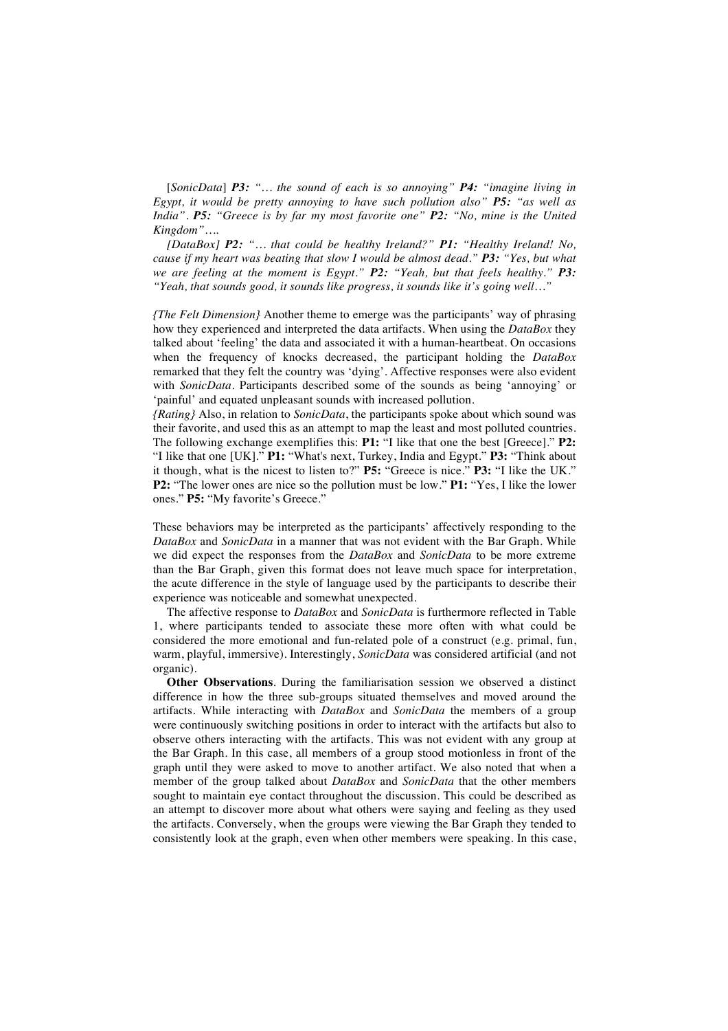[*SonicData*] *P3: "… the sound of each is so annoying" P4: "imagine living in Egypt, it would be pretty annoying to have such pollution also" P5: "as well as India". P5: "Greece is by far my most favorite one" P2: "No, mine is the United Kingdom"….*

*[DataBox] P2: "… that could be healthy Ireland?" P1: "Healthy Ireland! No, cause if my heart was beating that slow I would be almost dead." P3: "Yes, but what we are feeling at the moment is Egypt." P2: "Yeah, but that feels healthy." P3: "Yeah, that sounds good, it sounds like progress, it sounds like it's going well…"*

*{The Felt Dimension}* Another theme to emerge was the participants' way of phrasing how they experienced and interpreted the data artifacts. When using the *DataBox* they talked about 'feeling' the data and associated it with a human-heartbeat. On occasions when the frequency of knocks decreased, the participant holding the *DataBox* remarked that they felt the country was 'dying'. Affective responses were also evident with *SonicData*. Participants described some of the sounds as being 'annoying' or 'painful' and equated unpleasant sounds with increased pollution.

*{Rating}* Also, in relation to *SonicData*, the participants spoke about which sound was their favorite, and used this as an attempt to map the least and most polluted countries. The following exchange exemplifies this: **P1:** "I like that one the best [Greece]." **P2:** "I like that one [UK]." **P1:** "What's next, Turkey, India and Egypt." **P3:** "Think about it though, what is the nicest to listen to?" **P5:** "Greece is nice." **P3:** "I like the UK." **P2:** "The lower ones are nice so the pollution must be low." **P1:** "Yes, I like the lower ones." **P5:** "My favorite's Greece."

These behaviors may be interpreted as the participants' affectively responding to the *DataBox* and *SonicData* in a manner that was not evident with the Bar Graph. While we did expect the responses from the *DataBox* and *SonicData* to be more extreme than the Bar Graph, given this format does not leave much space for interpretation, the acute difference in the style of language used by the participants to describe their experience was noticeable and somewhat unexpected.

The affective response to *DataBox* and *SonicData* is furthermore reflected in Table 1, where participants tended to associate these more often with what could be considered the more emotional and fun-related pole of a construct (e.g. primal, fun, warm, playful, immersive). Interestingly, *SonicData* was considered artificial (and not organic).

**Other Observations**. During the familiarisation session we observed a distinct difference in how the three sub-groups situated themselves and moved around the artifacts. While interacting with *DataBox* and *SonicData* the members of a group were continuously switching positions in order to interact with the artifacts but also to observe others interacting with the artifacts. This was not evident with any group at the Bar Graph. In this case, all members of a group stood motionless in front of the graph until they were asked to move to another artifact. We also noted that when a member of the group talked about *DataBox* and *SonicData* that the other members sought to maintain eye contact throughout the discussion. This could be described as an attempt to discover more about what others were saying and feeling as they used the artifacts. Conversely, when the groups were viewing the Bar Graph they tended to consistently look at the graph, even when other members were speaking. In this case,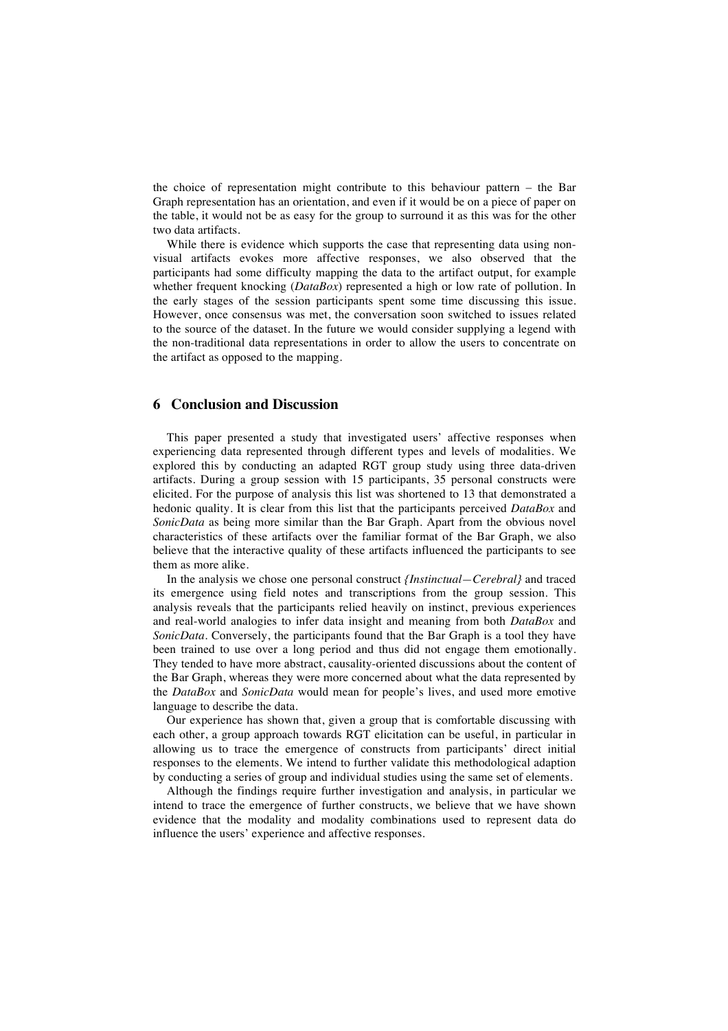the choice of representation might contribute to this behaviour pattern – the Bar Graph representation has an orientation, and even if it would be on a piece of paper on the table, it would not be as easy for the group to surround it as this was for the other two data artifacts.

While there is evidence which supports the case that representing data using nonvisual artifacts evokes more affective responses, we also observed that the participants had some difficulty mapping the data to the artifact output, for example whether frequent knocking (*DataBox*) represented a high or low rate of pollution. In the early stages of the session participants spent some time discussing this issue. However, once consensus was met, the conversation soon switched to issues related to the source of the dataset. In the future we would consider supplying a legend with the non-traditional data representations in order to allow the users to concentrate on the artifact as opposed to the mapping.

#### **6 Conclusion and Discussion**

This paper presented a study that investigated users' affective responses when experiencing data represented through different types and levels of modalities. We explored this by conducting an adapted RGT group study using three data-driven artifacts. During a group session with 15 participants, 35 personal constructs were elicited. For the purpose of analysis this list was shortened to 13 that demonstrated a hedonic quality. It is clear from this list that the participants perceived *DataBox* and *SonicData* as being more similar than the Bar Graph. Apart from the obvious novel characteristics of these artifacts over the familiar format of the Bar Graph, we also believe that the interactive quality of these artifacts influenced the participants to see them as more alike.

In the analysis we chose one personal construct *{Instinctual—Cerebral}* and traced its emergence using field notes and transcriptions from the group session. This analysis reveals that the participants relied heavily on instinct, previous experiences and real-world analogies to infer data insight and meaning from both *DataBox* and *SonicData*. Conversely, the participants found that the Bar Graph is a tool they have been trained to use over a long period and thus did not engage them emotionally. They tended to have more abstract, causality-oriented discussions about the content of the Bar Graph, whereas they were more concerned about what the data represented by the *DataBox* and *SonicData* would mean for people's lives, and used more emotive language to describe the data.

Our experience has shown that, given a group that is comfortable discussing with each other, a group approach towards RGT elicitation can be useful, in particular in allowing us to trace the emergence of constructs from participants' direct initial responses to the elements. We intend to further validate this methodological adaption by conducting a series of group and individual studies using the same set of elements.

Although the findings require further investigation and analysis, in particular we intend to trace the emergence of further constructs, we believe that we have shown evidence that the modality and modality combinations used to represent data do influence the users' experience and affective responses.